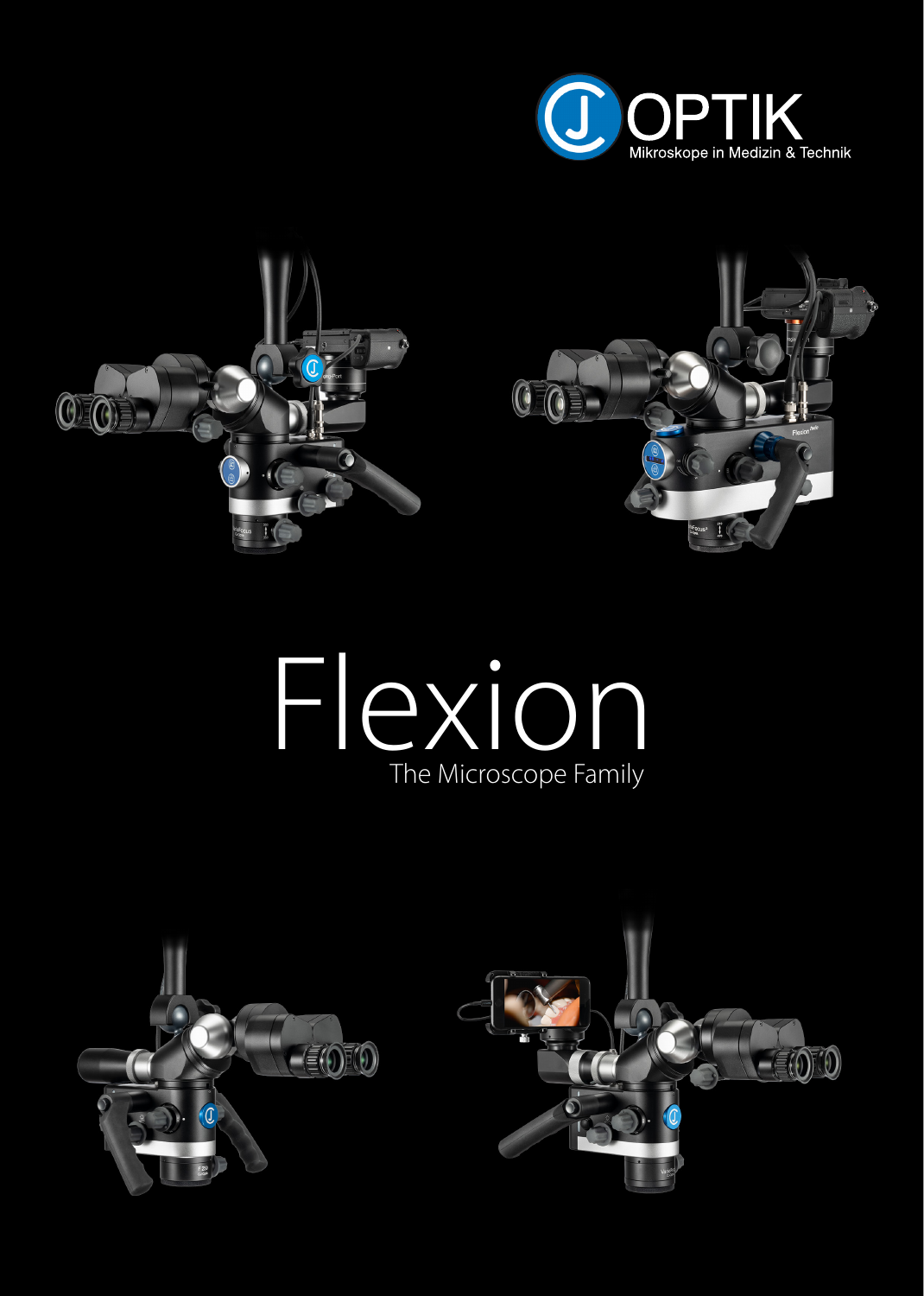